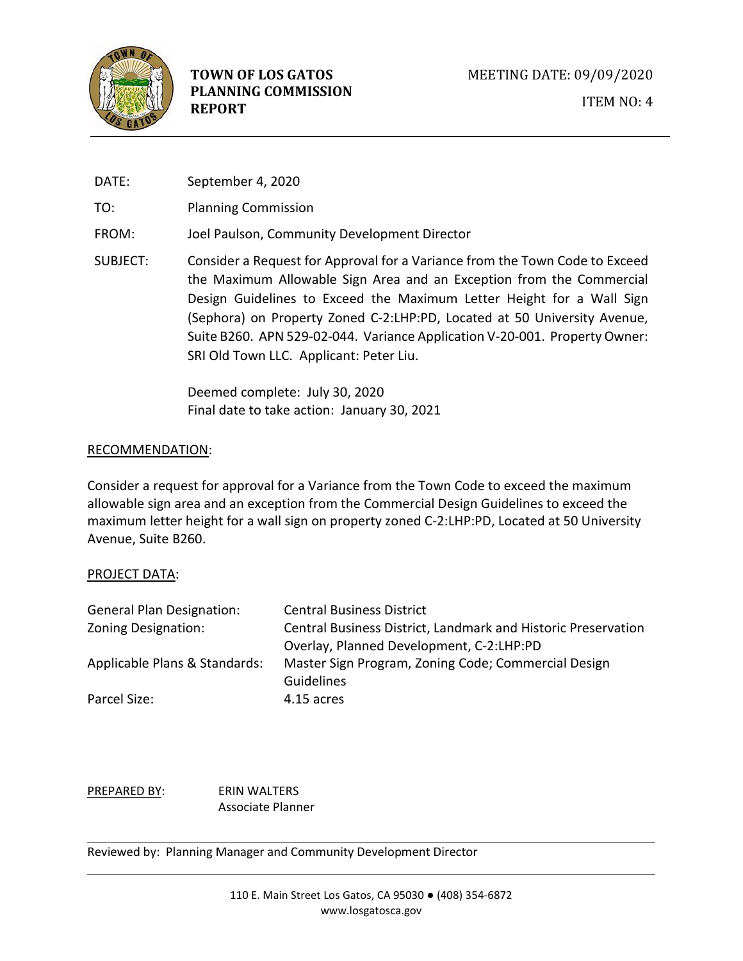

DATE: September 4, 2020

TO: Planning Commission

- FROM: Joel Paulson, Community Development Director
- SUBJECT: Consider a Request for Approval for a Variance from the Town Code to Exceed the Maximum Allowable Sign Area and an Exception from the Commercial Design Guidelines to Exceed the Maximum Letter Height for a Wall Sign (Sephora) on Property Zoned C-2:LHP:PD, Located at 50 University Avenue, Suite B260. APN 529-02-044. Variance Application V-20-001. Property Owner: SRI Old Town LLC. Applicant: Peter Liu.

Deemed complete: July 30, 2020 Final date to take action: January 30, 2021

# RECOMMENDATION:

Consider a request for approval for a Variance from the Town Code to exceed the maximum allowable sign area and an exception from the Commercial Design Guidelines to exceed the maximum letter height for a wall sign on property zoned C-2:LHP:PD, Located at 50 University Avenue, Suite B260.

# PROJECT DATA:

| <b>General Plan Designation:</b> | <b>Central Business District</b>                              |
|----------------------------------|---------------------------------------------------------------|
| Zoning Designation:              | Central Business District, Landmark and Historic Preservation |
|                                  | Overlay, Planned Development, C-2:LHP:PD                      |
| Applicable Plans & Standards:    | Master Sign Program, Zoning Code; Commercial Design           |
|                                  | <b>Guidelines</b>                                             |
| Parcel Size:                     | 4.15 acres                                                    |

PREPARED BY: ERIN WALTERS Associate Planner

Reviewed by: Planning Manager and Community Development Director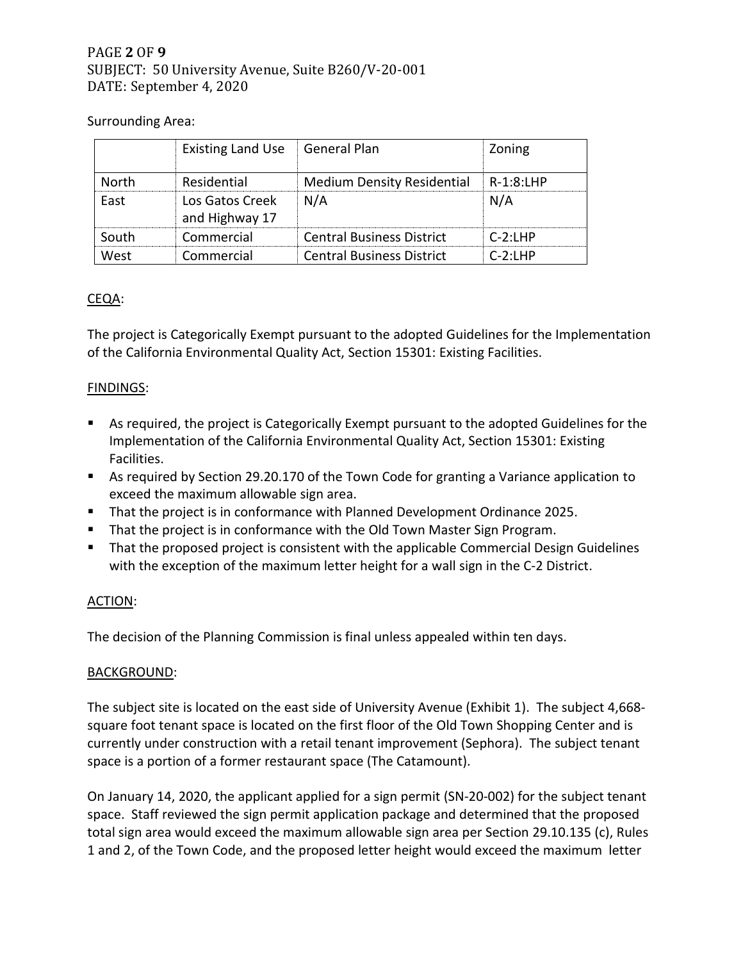# PAGE **2** OF **9** SUBJECT: 50 University Avenue, Suite B260/V-20-001 DATE: September 4, 2020

# Surrounding Area:

|       | <b>Existing Land Use</b>          | General Plan                      | Zoning      |
|-------|-----------------------------------|-----------------------------------|-------------|
| North | Residential                       | <b>Medium Density Residential</b> | $R-1:8:LHP$ |
| East  | Los Gatos Creek<br>and Highway 17 | N/A                               | N/A         |
| South | Commercial                        | <b>Central Business District</b>  | $C-2:1HP$   |
| West  | Commercial                        | <b>Central Business District</b>  | $C-2:1HP$   |

# CEQA:

The project is Categorically Exempt pursuant to the adopted Guidelines for the Implementation of the California Environmental Quality Act, Section 15301: Existing Facilities.

## FINDINGS:

- As required, the project is Categorically Exempt pursuant to the adopted Guidelines for the Implementation of the California Environmental Quality Act, Section 15301: Existing Facilities.
- As required by Section 29.20.170 of the Town Code for granting a Variance application to exceed the maximum allowable sign area.
- That the project is in conformance with Planned Development Ordinance 2025.
- That the project is in conformance with the Old Town Master Sign Program.
- That the proposed project is consistent with the applicable Commercial Design Guidelines with the exception of the maximum letter height for a wall sign in the C-2 District.

#### ACTION:

The decision of the Planning Commission is final unless appealed within ten days.

#### BACKGROUND:

The subject site is located on the east side of University Avenue (Exhibit 1). The subject 4,668 square foot tenant space is located on the first floor of the Old Town Shopping Center and is currently under construction with a retail tenant improvement (Sephora). The subject tenant space is a portion of a former restaurant space (The Catamount).

On January 14, 2020, the applicant applied for a sign permit (SN-20-002) for the subject tenant space. Staff reviewed the sign permit application package and determined that the proposed total sign area would exceed the maximum allowable sign area per Section 29.10.135 (c), Rules 1 and 2, of the Town Code, and the proposed letter height would exceed the maximum letter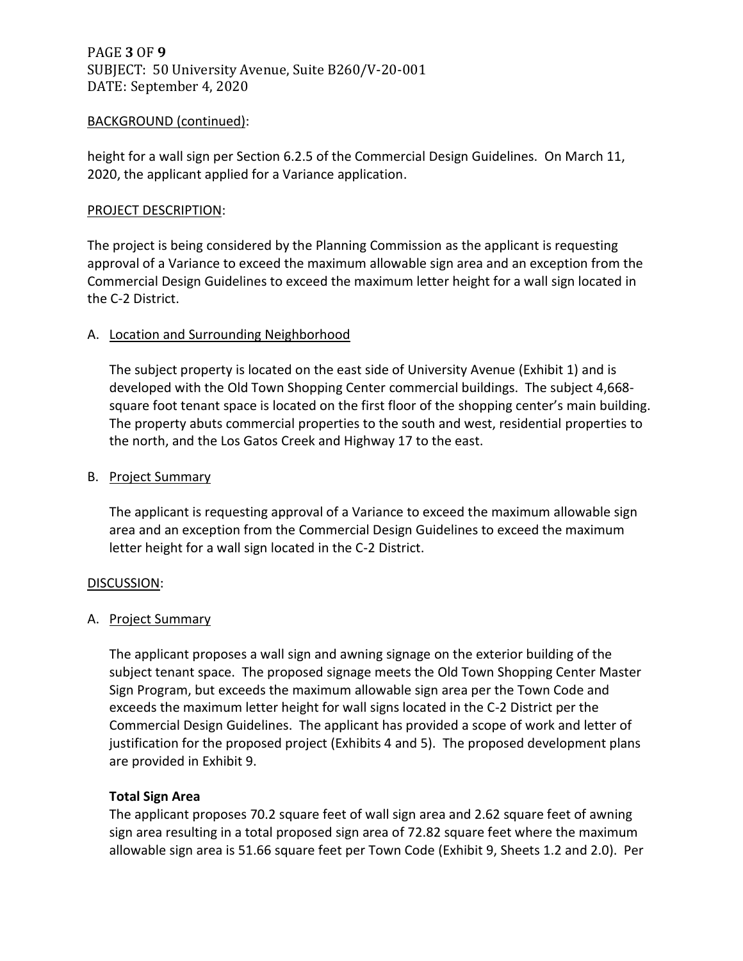# PAGE **3** OF **9** SUBJECT: 50 University Avenue, Suite B260/V-20-001 DATE: September 4, 2020

## BACKGROUND (continued):

height for a wall sign per Section 6.2.5 of the Commercial Design Guidelines. On March 11, 2020, the applicant applied for a Variance application.

#### PROJECT DESCRIPTION:

The project is being considered by the Planning Commission as the applicant is requesting approval of a Variance to exceed the maximum allowable sign area and an exception from the Commercial Design Guidelines to exceed the maximum letter height for a wall sign located in the C-2 District.

## A. Location and Surrounding Neighborhood

The subject property is located on the east side of University Avenue (Exhibit 1) and is developed with the Old Town Shopping Center commercial buildings. The subject 4,668 square foot tenant space is located on the first floor of the shopping center's main building. The property abuts commercial properties to the south and west, residential properties to the north, and the Los Gatos Creek and Highway 17 to the east.

#### B. Project Summary

The applicant is requesting approval of a Variance to exceed the maximum allowable sign area and an exception from the Commercial Design Guidelines to exceed the maximum letter height for a wall sign located in the C-2 District.

#### DISCUSSION:

# A. Project Summary

The applicant proposes a wall sign and awning signage on the exterior building of the subject tenant space. The proposed signage meets the Old Town Shopping Center Master Sign Program, but exceeds the maximum allowable sign area per the Town Code and exceeds the maximum letter height for wall signs located in the C-2 District per the Commercial Design Guidelines. The applicant has provided a scope of work and letter of justification for the proposed project (Exhibits 4 and 5). The proposed development plans are provided in Exhibit 9.

# **Total Sign Area**

The applicant proposes 70.2 square feet of wall sign area and 2.62 square feet of awning sign area resulting in a total proposed sign area of 72.82 square feet where the maximum allowable sign area is 51.66 square feet per Town Code (Exhibit 9, Sheets 1.2 and 2.0). Per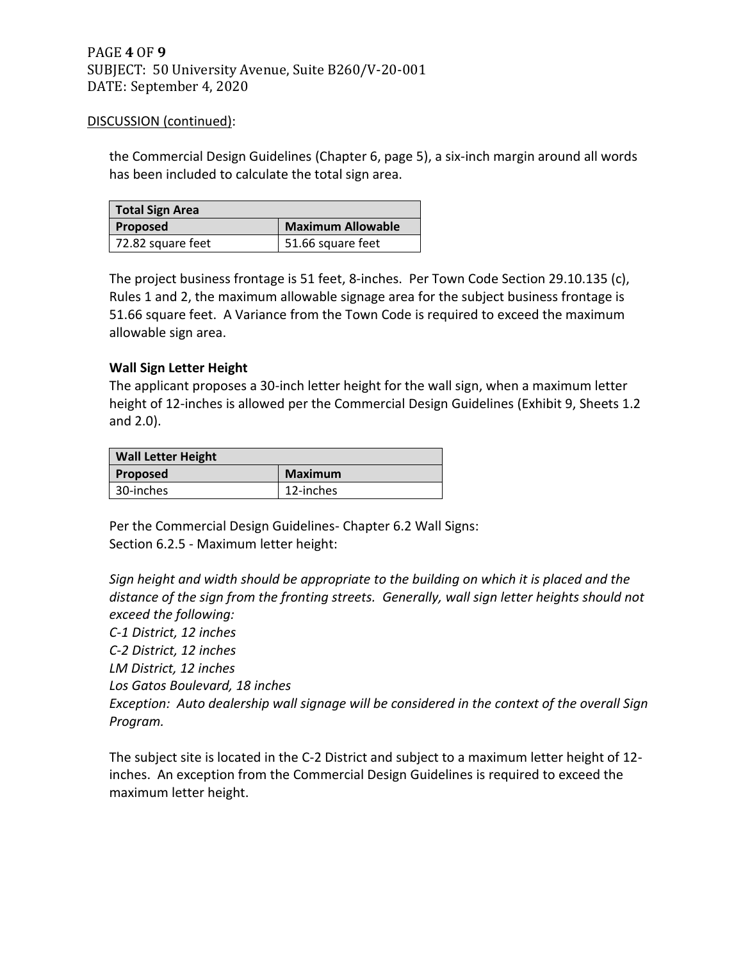the Commercial Design Guidelines (Chapter 6, page 5), a six-inch margin around all words has been included to calculate the total sign area.

| <b>Total Sign Area</b> |                          |
|------------------------|--------------------------|
| Proposed               | <b>Maximum Allowable</b> |
| 72.82 square feet      | 51.66 square feet        |

The project business frontage is 51 feet, 8-inches. Per Town Code Section 29.10.135 (c), Rules 1 and 2, the maximum allowable signage area for the subject business frontage is 51.66 square feet. A Variance from the Town Code is required to exceed the maximum allowable sign area.

## **Wall Sign Letter Height**

The applicant proposes a 30-inch letter height for the wall sign, when a maximum letter height of 12-inches is allowed per the Commercial Design Guidelines (Exhibit 9, Sheets 1.2 and 2.0).

| <b>Wall Letter Height</b> |                |  |
|---------------------------|----------------|--|
| <b>Proposed</b>           | <b>Maximum</b> |  |
| 30-inches                 | 12-inches      |  |

Per the Commercial Design Guidelines- Chapter 6.2 Wall Signs: Section 6.2.5 - Maximum letter height:

*Sign height and width should be appropriate to the building on which it is placed and the distance of the sign from the fronting streets. Generally, wall sign letter heights should not exceed the following:* 

*C-1 District, 12 inches C-2 District, 12 inches LM District, 12 inches Los Gatos Boulevard, 18 inches Exception: Auto dealership wall signage will be considered in the context of the overall Sign Program.* 

The subject site is located in the C-2 District and subject to a maximum letter height of 12 inches. An exception from the Commercial Design Guidelines is required to exceed the maximum letter height.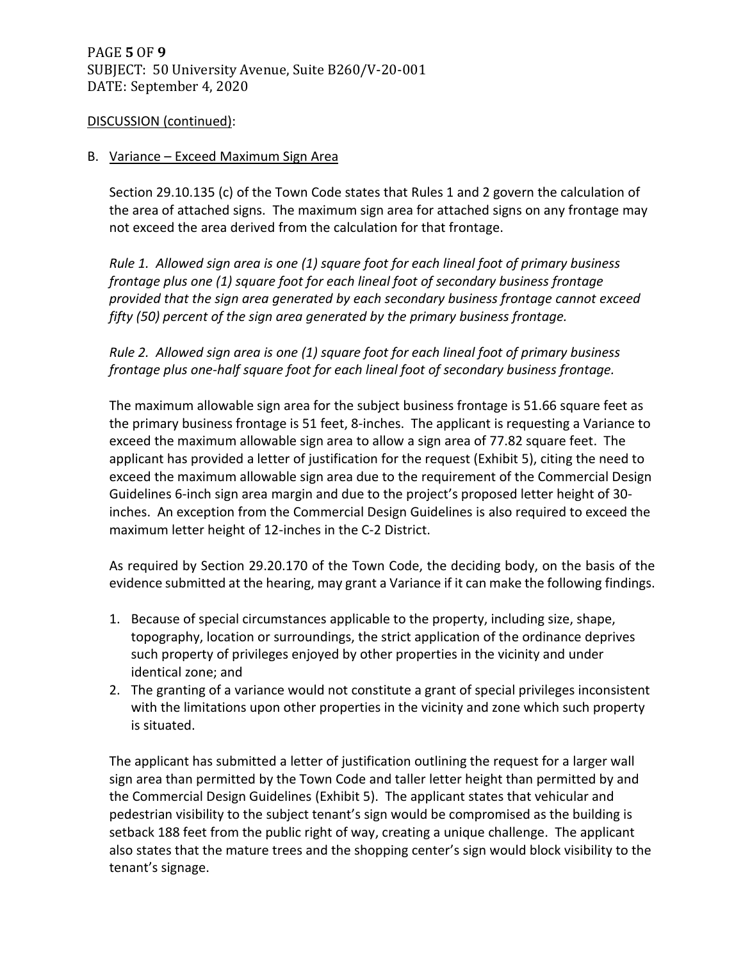## B. Variance – Exceed Maximum Sign Area

Section 29.10.135 (c) of the Town Code states that Rules 1 and 2 govern the calculation of the area of attached signs. The maximum sign area for attached signs on any frontage may not exceed the area derived from the calculation for that frontage.

*Rule 1. Allowed sign area is one (1) square foot for each lineal foot of primary business frontage plus one (1) square foot for each lineal foot of secondary business frontage provided that the sign area generated by each secondary business frontage cannot exceed fifty (50) percent of the sign area generated by the primary business frontage.* 

# *Rule 2. Allowed sign area is one (1) square foot for each lineal foot of primary business frontage plus one-half square foot for each lineal foot of secondary business frontage.*

The maximum allowable sign area for the subject business frontage is 51.66 square feet as the primary business frontage is 51 feet, 8-inches. The applicant is requesting a Variance to exceed the maximum allowable sign area to allow a sign area of 77.82 square feet. The applicant has provided a letter of justification for the request (Exhibit 5), citing the need to exceed the maximum allowable sign area due to the requirement of the Commercial Design Guidelines 6-inch sign area margin and due to the project's proposed letter height of 30 inches. An exception from the Commercial Design Guidelines is also required to exceed the maximum letter height of 12-inches in the C-2 District.

As required by Section 29.20.170 of the Town Code, the deciding body, on the basis of the evidence submitted at the hearing, may grant a Variance if it can make the following findings.

- 1. Because of special circumstances applicable to the property, including size, shape, topography, location or surroundings, the strict application of the ordinance deprives such property of privileges enjoyed by other properties in the vicinity and under identical zone; and
- 2. The granting of a variance would not constitute a grant of special privileges inconsistent with the limitations upon other properties in the vicinity and zone which such property is situated.

The applicant has submitted a letter of justification outlining the request for a larger wall sign area than permitted by the Town Code and taller letter height than permitted by and the Commercial Design Guidelines (Exhibit 5). The applicant states that vehicular and pedestrian visibility to the subject tenant's sign would be compromised as the building is setback 188 feet from the public right of way, creating a unique challenge. The applicant also states that the mature trees and the shopping center's sign would block visibility to the tenant's signage.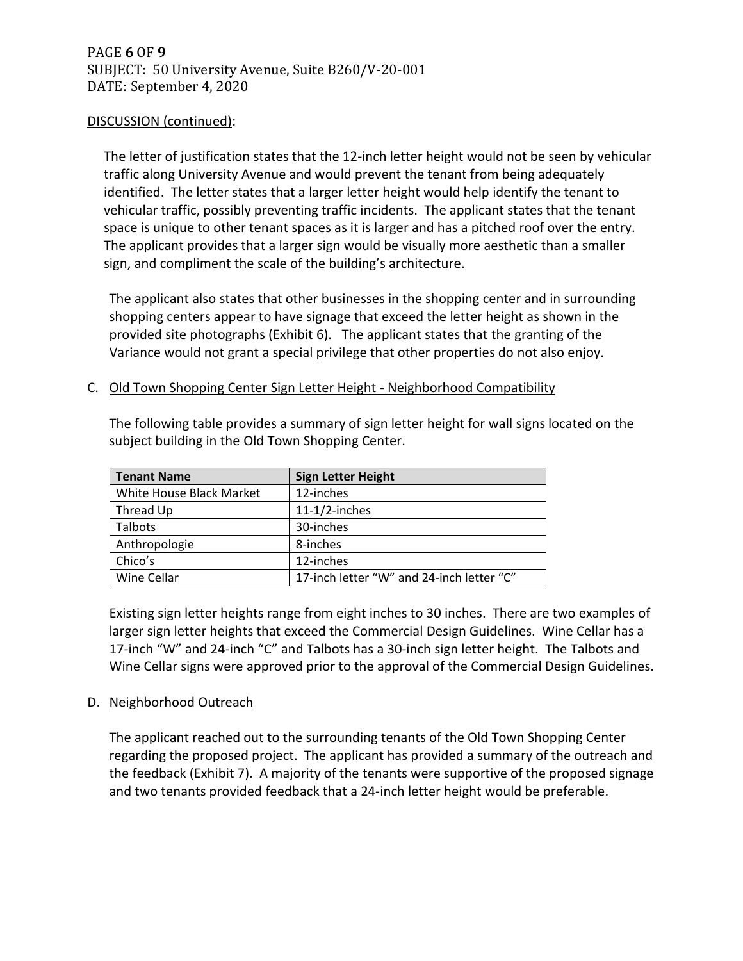The letter of justification states that the 12-inch letter height would not be seen by vehicular traffic along University Avenue and would prevent the tenant from being adequately identified. The letter states that a larger letter height would help identify the tenant to vehicular traffic, possibly preventing traffic incidents. The applicant states that the tenant space is unique to other tenant spaces as it is larger and has a pitched roof over the entry. The applicant provides that a larger sign would be visually more aesthetic than a smaller sign, and compliment the scale of the building's architecture.

The applicant also states that other businesses in the shopping center and in surrounding shopping centers appear to have signage that exceed the letter height as shown in the provided site photographs (Exhibit 6). The applicant states that the granting of the Variance would not grant a special privilege that other properties do not also enjoy.

## C. Old Town Shopping Center Sign Letter Height - Neighborhood Compatibility

| <b>Tenant Name</b>       | <b>Sign Letter Height</b>                 |
|--------------------------|-------------------------------------------|
| White House Black Market | 12-inches                                 |
| Thread Up                | $11-1/2$ -inches                          |
| <b>Talbots</b>           | 30-inches                                 |
| Anthropologie            | 8-inches                                  |
| Chico's                  | 12-inches                                 |
| Wine Cellar              | 17-inch letter "W" and 24-inch letter "C" |

The following table provides a summary of sign letter height for wall signs located on the subject building in the Old Town Shopping Center.

Existing sign letter heights range from eight inches to 30 inches. There are two examples of larger sign letter heights that exceed the Commercial Design Guidelines. Wine Cellar has a 17-inch "W" and 24-inch "C" and Talbots has a 30-inch sign letter height. The Talbots and Wine Cellar signs were approved prior to the approval of the Commercial Design Guidelines.

#### D. Neighborhood Outreach

The applicant reached out to the surrounding tenants of the Old Town Shopping Center regarding the proposed project. The applicant has provided a summary of the outreach and the feedback (Exhibit 7). A majority of the tenants were supportive of the proposed signage and two tenants provided feedback that a 24-inch letter height would be preferable.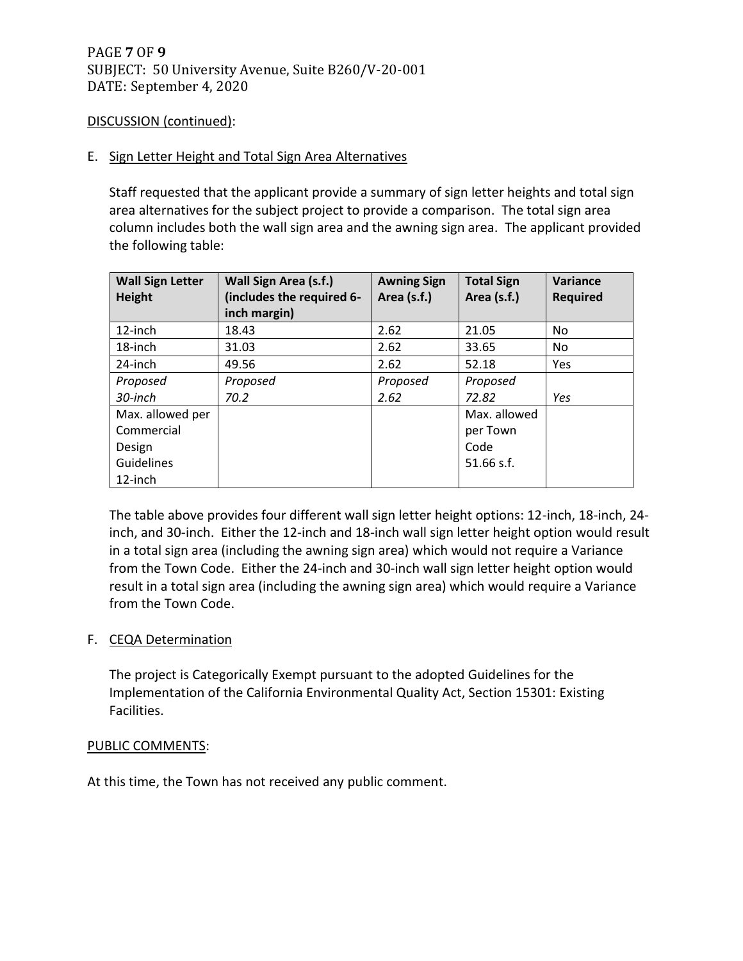## E. Sign Letter Height and Total Sign Area Alternatives

Staff requested that the applicant provide a summary of sign letter heights and total sign area alternatives for the subject project to provide a comparison. The total sign area column includes both the wall sign area and the awning sign area. The applicant provided the following table:

| <b>Wall Sign Letter</b> | Wall Sign Area (s.f.)     | <b>Awning Sign</b> | <b>Total Sign</b> | Variance        |
|-------------------------|---------------------------|--------------------|-------------------|-----------------|
| <b>Height</b>           | (includes the required 6- | Area (s.f.)        | Area (s.f.)       | <b>Required</b> |
|                         | inch margin)              |                    |                   |                 |
| 12-inch                 | 18.43                     | 2.62               | 21.05             | No              |
| 18-inch                 | 31.03                     | 2.62               | 33.65             | No              |
| 24-inch                 | 49.56                     | 2.62               | 52.18             | Yes             |
| Proposed                | Proposed                  | Proposed           | Proposed          |                 |
| 30-inch                 | 70.2                      | 2.62               | 72.82             | Yes             |
| Max. allowed per        |                           |                    | Max. allowed      |                 |
| Commercial              |                           |                    | per Town          |                 |
| Design                  |                           |                    | Code              |                 |
| Guidelines              |                           |                    | $51.66$ s.f.      |                 |
| 12-inch                 |                           |                    |                   |                 |

The table above provides four different wall sign letter height options: 12-inch, 18-inch, 24 inch, and 30-inch. Either the 12-inch and 18-inch wall sign letter height option would result in a total sign area (including the awning sign area) which would not require a Variance from the Town Code. Either the 24-inch and 30-inch wall sign letter height option would result in a total sign area (including the awning sign area) which would require a Variance from the Town Code.

#### F. CEQA Determination

The project is Categorically Exempt pursuant to the adopted Guidelines for the Implementation of the California Environmental Quality Act, Section 15301: Existing Facilities.

#### PUBLIC COMMENTS:

At this time, the Town has not received any public comment.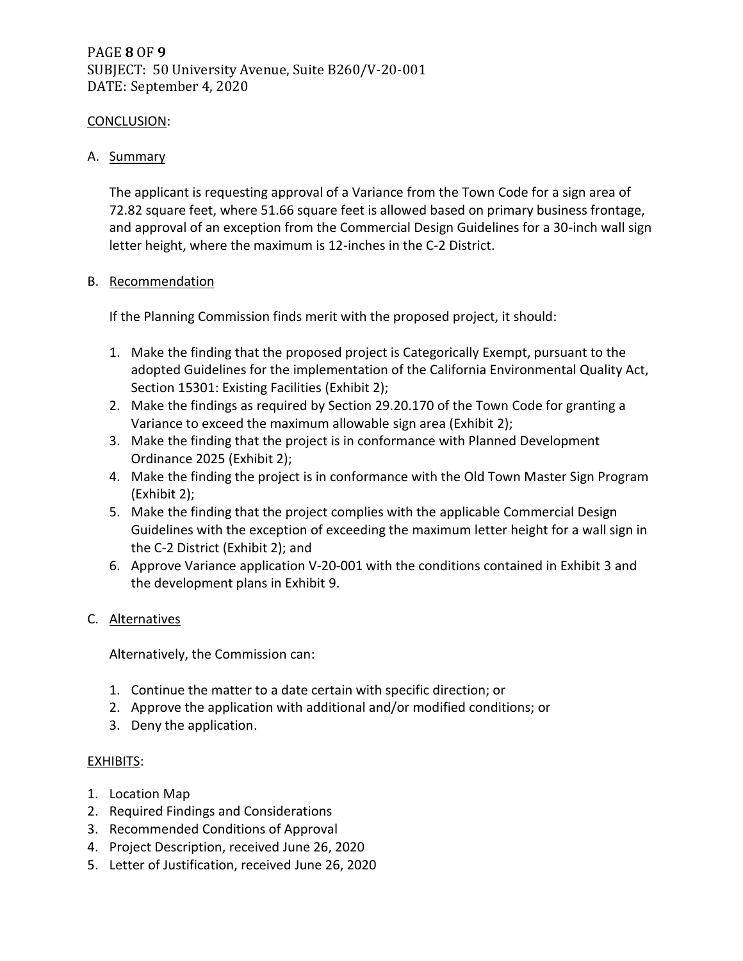# CONCLUSION:

## A. Summary

The applicant is requesting approval of a Variance from the Town Code for a sign area of 72.82 square feet, where 51.66 square feet is allowed based on primary business frontage, and approval of an exception from the Commercial Design Guidelines for a 30-inch wall sign letter height, where the maximum is 12-inches in the C-2 District.

## B. Recommendation

If the Planning Commission finds merit with the proposed project, it should:

- 1. Make the finding that the proposed project is Categorically Exempt, pursuant to the adopted Guidelines for the implementation of the California Environmental Quality Act, Section 15301: Existing Facilities (Exhibit 2);
- 2. Make the findings as required by Section 29.20.170 of the Town Code for granting a Variance to exceed the maximum allowable sign area (Exhibit 2);
- 3. Make the finding that the project is in conformance with Planned Development Ordinance 2025 (Exhibit 2);
- 4. Make the finding the project is in conformance with the Old Town Master Sign Program (Exhibit 2);
- 5. Make the finding that the project complies with the applicable Commercial Design Guidelines with the exception of exceeding the maximum letter height for a wall sign in the C-2 District (Exhibit 2); and
- 6. Approve Variance application V-20-001 with the conditions contained in Exhibit 3 and the development plans in Exhibit 9.

# C. Alternatives

Alternatively, the Commission can:

- 1. Continue the matter to a date certain with specific direction; or
- 2. Approve the application with additional and/or modified conditions; or
- 3. Deny the application.

# EXHIBITS:

- 1. Location Map
- 2. Required Findings and Considerations
- 3. Recommended Conditions of Approval
- 4. Project Description, received June 26, 2020
- 5. Letter of Justification, received June 26, 2020